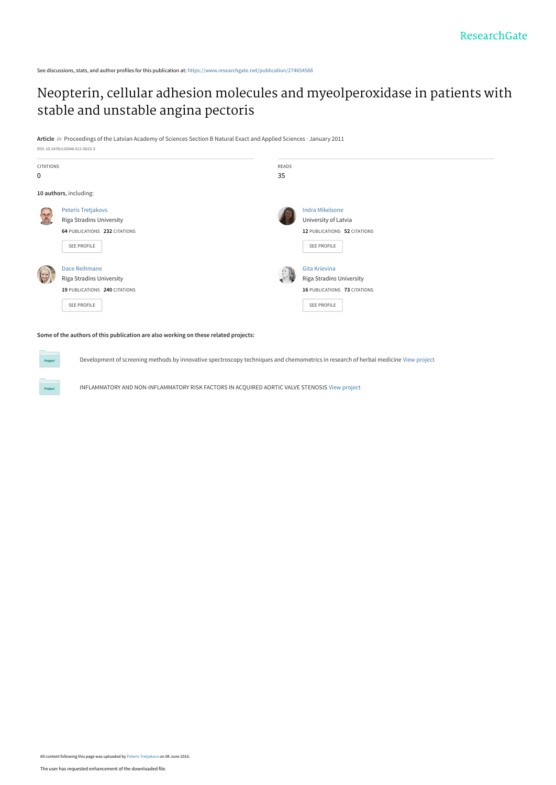See discussions, stats, and author profiles for this publication at: [https://www.researchgate.net/publication/274654588](https://www.researchgate.net/publication/274654588_Neopterin_cellular_adhesion_molecules_and_myeolperoxidase_in_patients_with_stable_and_unstable_angina_pectoris?enrichId=rgreq-98203888a088774d79c5d78428cb68e9-XXX&enrichSource=Y292ZXJQYWdlOzI3NDY1NDU4ODtBUzozNzA2NTkwNjc3NDQyNTlAMTQ2NTM4MzQxNjYzOQ%3D%3D&el=1_x_2&_esc=publicationCoverPdf)

# [Neopterin, cellular adhesion molecules and myeolperoxidase in patients with](https://www.researchgate.net/publication/274654588_Neopterin_cellular_adhesion_molecules_and_myeolperoxidase_in_patients_with_stable_and_unstable_angina_pectoris?enrichId=rgreq-98203888a088774d79c5d78428cb68e9-XXX&enrichSource=Y292ZXJQYWdlOzI3NDY1NDU4ODtBUzozNzA2NTkwNjc3NDQyNTlAMTQ2NTM4MzQxNjYzOQ%3D%3D&el=1_x_3&_esc=publicationCoverPdf) stable and unstable angina pectoris

**Article** in Proceedings of the Latvian Academy of Sciences Section B Natural Exact and Applied Sciences · January 2011



#### **Some of the authors of this publication are also working on these related projects:**

Development of screening methods by innovative spectroscopy techniques and chemometrics in research of herbal medicine [View project](https://www.researchgate.net/project/Development-of-screening-methods-by-innovative-spectroscopy-techniques-and-chemometrics-in-research-of-herbal-medicine?enrichId=rgreq-98203888a088774d79c5d78428cb68e9-XXX&enrichSource=Y292ZXJQYWdlOzI3NDY1NDU4ODtBUzozNzA2NTkwNjc3NDQyNTlAMTQ2NTM4MzQxNjYzOQ%3D%3D&el=1_x_9&_esc=publicationCoverPdf)

INFLAMMATORY AND NON-INFLAMMATORY RISK FACTORS IN ACQUIRED AORTIC VALVE STENOSIS [View project](https://www.researchgate.net/project/INFLAMMATORY-AND-NON-INFLAMMATORY-RISK-FACTORS-IN-ACQUIRED-AORTIC-VALVE-STENOSIS?enrichId=rgreq-98203888a088774d79c5d78428cb68e9-XXX&enrichSource=Y292ZXJQYWdlOzI3NDY1NDU4ODtBUzozNzA2NTkwNjc3NDQyNTlAMTQ2NTM4MzQxNjYzOQ%3D%3D&el=1_x_9&_esc=publicationCoverPdf)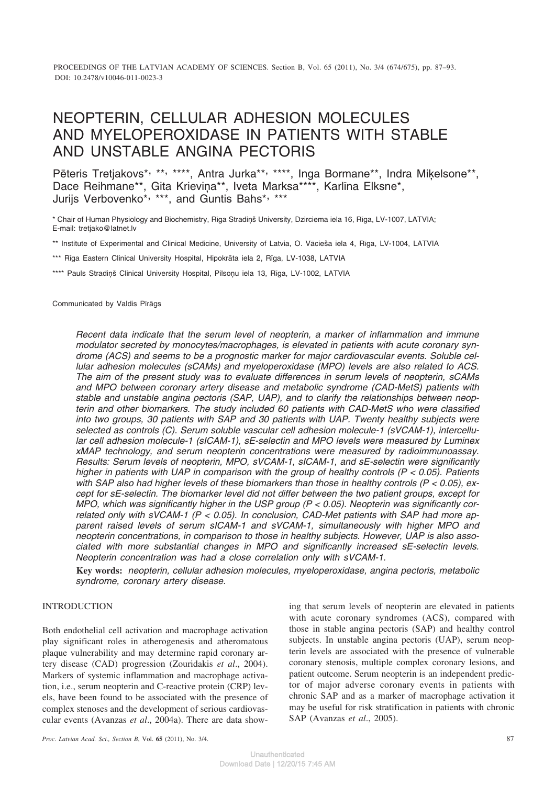# NEOPTERIN, CELLULAR ADHESION MOLECULES AND MYELOPEROXIDASE IN PATIENTS WITH STABLE AND UNSTABLE ANGINA PECTORIS

Pēteris Tretjakovs\*, \*\*, \*\*\*\*, Antra Jurka\*\*, \*\*\*\*, Inga Bormane\*\*, Indra Miķelsone\*\*, Dace Reihmane\*\*, Gita Krieviṇa\*\*, Iveta Marksa\*\*\*\*, Karlīna Elksne\*, Jurijs Verbovenko\*, \*\*\*, and Guntis Bahs\*, \*\*\*

\* Chair of Human Physiology and Biochemistry, Rīga Stradiņš University, Dzirciema iela 16, Rīga, LV-1007, LATVIA; E-mail: tretjako@latnet.lv

\*\* Institute of Experimental and Clinical Medicine, University of Latvia, O. Vâcieða iela 4, Rîga, LV-1004, LATVIA

\*\*\* Rîga Eastern Clinical University Hospital, Hipokrâta iela 2, Rîga, LV-1038, LATVIA

\*\*\*\* Pauls Stradiņš Clinical University Hospital, Pilsoņu iela 13, Rīga, LV-1002, LATVIA

Communicated by Valdis Pîrâgs

*Recent data indicate that the serum level of neopterin, a marker of inflammation and immune modulator secreted by monocytes/macrophages, is elevated in patients with acute coronary syndrome (ACS) and seems to be a prognostic marker for major cardiovascular events. Soluble cellular adhesion molecules (sCAMs) and myeloperoxidase (MPO) levels are also related to ACS. The aim of the present study was to evaluate differences in serum levels of neopterin, sCAMs and MPO between coronary artery disease and metabolic syndrome (CAD-MetS) patients with stable and unstable angina pectoris (SAP, UAP), and to clarify the relationships between neopterin and other biomarkers. The study included 60 patients with CAD-MetS who were classified into two groups, 30 patients with SAP and 30 patients with UAP. Twenty healthy subjects were selected as controls (C). Serum soluble vascular cell adhesion molecule-1 (sVCAM-1), intercellular cell adhesion molecule-1 (sICAM-1), sE-selectin and MPO levels were measured by Luminex xMAP technology, and serum neopterin concentrations were measured by radioimmunoassay. Results: Serum levels of neopterin, MPO, sVCAM-1, sICAM-1, and sE-selectin were significantly higher in patients with UAP in comparison with the group of healthy controls (P < 0.05). Patients with SAP also had higher levels of these biomarkers than those in healthy controls (P < 0.05), except for sE-selectin. The biomarker level did not differ between the two patient groups, except for MPO, which was significantly higher in the USP group (P < 0.05). Neopterin was significantly correlated only with sVCAM-1 (P < 0.05). In conclusion, CAD-Met patients with SAP had more apparent raised levels of serum sICAM-1 and sVCAM-1, simultaneously with higher MPO and neopterin concentrations, in comparison to those in healthy subjects. However, UAP is also associated with more substantial changes in MPO and significantly increased sE-selectin levels. Neopterin concentration was had a close correlation only with sVCAM-1.*

**Key words:** *neopterin, cellular adhesion molecules, myeloperoxidase, angina pectoris, metabolic syndrome, coronary artery disease.*

## INTRODUCTION

Both endothelial cell activation and macrophage activation play significant roles in atherogenesis and atheromatous plaque vulnerability and may determine rapid coronary artery disease (CAD) progression (Zouridakis *et al*., 2004). Markers of systemic inflammation and macrophage activation, i.e., serum neopterin and C-reactive protein (CRP) levels, have been found to be associated with the presence of complex stenoses and the development of serious cardiovascular events (Avanzas *et al*., 2004a). There are data showing that serum levels of neopterin are elevated in patients with acute coronary syndromes (ACS), compared with those in stable angina pectoris (SAP) and healthy control subjects. In unstable angina pectoris (UAP), serum neopterin levels are associated with the presence of vulnerable coronary stenosis, multiple complex coronary lesions, and patient outcome. Serum neopterin is an independent predictor of major adverse coronary events in patients with chronic SAP and as a marker of macrophage activation it may be useful for risk stratification in patients with chronic SAP (Avanzas *et al*., 2005).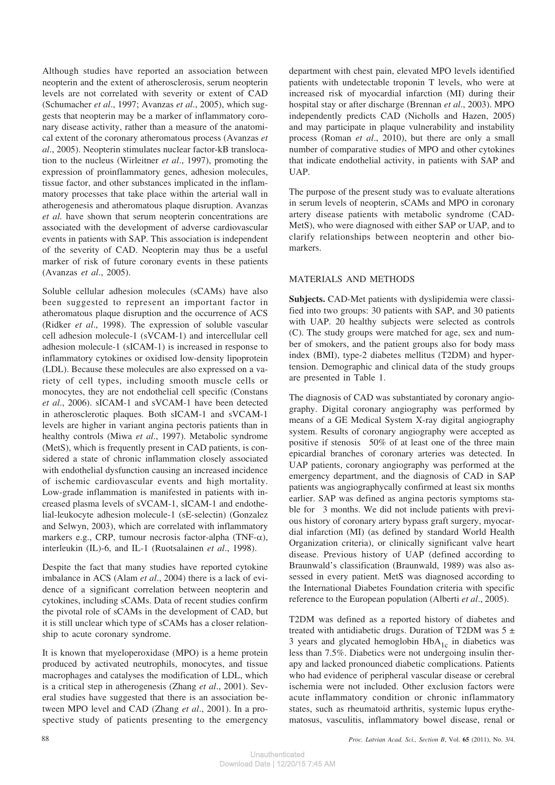Although studies have reported an association between neopterin and the extent of atherosclerosis, serum neopterin levels are not correlated with severity or extent of CAD (Schumacher *et al*., 1997; Avanzas *et al*., 2005), which suggests that neopterin may be a marker of inflammatory coronary disease activity, rather than a measure of the anatomical extent of the coronary atheromatous process (Avanzas *et al*., 2005). Neopterin stimulates nuclear factor-kB translocation to the nucleus (Wirleitner *et al*., 1997), promoting the expression of proinflammatory genes, adhesion molecules, tissue factor, and other substances implicated in the inflammatory processes that take place within the arterial wall in atherogenesis and atheromatous plaque disruption. Avanzas *et al.* have shown that serum neopterin concentrations are associated with the development of adverse cardiovascular events in patients with SAP. This association is independent of the severity of CAD. Neopterin may thus be a useful marker of risk of future coronary events in these patients (Avanzas *et al*., 2005).

Soluble cellular adhesion molecules (sCAMs) have also been suggested to represent an important factor in atheromatous plaque disruption and the occurrence of ACS (Ridker *et al*., 1998). The expression of soluble vascular cell adhesion molecule-1 (sVCAM-1) and intercellular cell adhesion molecule-1 (sICAM-1) is increased in response to inflammatory cytokines or oxidised low-density lipoprotein (LDL). Because these molecules are also expressed on a variety of cell types, including smooth muscle cells or monocytes, they are not endothelial cell specific (Constans *et al*., 2006). sICAM-1 and sVCAM-1 have been detected in atherosclerotic plaques. Both sICAM-1 and sVCAM-1 levels are higher in variant angina pectoris patients than in healthy controls (Miwa *et al*., 1997). Metabolic syndrome (MetS), which is frequently present in CAD patients, is considered a state of chronic inflammation closely associated with endothelial dysfunction causing an increased incidence of ischemic cardiovascular events and high mortality. Low-grade inflammation is manifested in patients with increased plasma levels of sVCAM-1, sICAM-1 and endothelial-leukocyte adhesion molecule-1 (sE-selectin) (Gonzalez and Selwyn, 2003), which are correlated with inflammatory markers e.g., CRP, tumour necrosis factor-alpha (TNF- $\alpha$ ), interleukin (IL)-6, and IL-1 (Ruotsalainen *et al*., 1998).

Despite the fact that many studies have reported cytokine imbalance in ACS (Alam *et al*., 2004) there is a lack of evidence of a significant correlation between neopterin and cytokines, including sCAMs. Data of recent studies confirm the pivotal role of sCAMs in the development of CAD, but it is still unclear which type of sCAMs has a closer relationship to acute coronary syndrome.

It is known that myeloperoxidase (MPO) is a heme protein produced by activated neutrophils, monocytes, and tissue macrophages and catalyses the modification of LDL, which is a critical step in atherogenesis (Zhang *et al*., 2001). Several studies have suggested that there is an association between MPO level and CAD (Zhang *et al*., 2001). In a prospective study of patients presenting to the emergency

department with chest pain, elevated MPO levels identified patients with undetectable troponin T levels, who were at increased risk of myocardial infarction (MI) during their hospital stay or after discharge (Brennan *et al*., 2003). MPO independently predicts CAD (Nicholls and Hazen, 2005) and may participate in plaque vulnerability and instability process (Roman *et al*., 2010), but there are only a small number of comparative studies of MPO and other cytokines that indicate endothelial activity, in patients with SAP and UAP.

The purpose of the present study was to evaluate alterations in serum levels of neopterin, sCAMs and MPO in coronary artery disease patients with metabolic syndrome (CAD-MetS), who were diagnosed with either SAP or UAP, and to clarify relationships between neopterin and other biomarkers.

## MATERIALS AND METHODS

**Subjects.** CAD-Met patients with dyslipidemia were classified into two groups: 30 patients with SAP, and 30 patients with UAP. 20 healthy subjects were selected as controls (C). The study groups were matched for age, sex and number of smokers, and the patient groups also for body mass index (BMI), type-2 diabetes mellitus (T2DM) and hypertension. Demographic and clinical data of the study groups are presented in Table 1.

The diagnosis of CAD was substantiated by coronary angiography. Digital coronary angiography was performed by means of a GE Medical System X-ray digital angiography system. Results of coronary angiography were accepted as positive if stenosis 50% of at least one of the three main epicardial branches of coronary arteries was detected. In UAP patients, coronary angiography was performed at the emergency department, and the diagnosis of CAD in SAP patients was angiographycally confirmed at least six months earlier. SAP was defined as angina pectoris symptoms stable for 3 months. We did not include patients with previous history of coronary artery bypass graft surgery, myocardial infarction (MI) (as defined by standard World Health Organization criteria), or clinically significant valve heart disease. Previous history of UAP (defined according to Braunwald's classification (Braunwald, 1989) was also assessed in every patient. MetS was diagnosed according to the International Diabetes Foundation criteria with specific reference to the European population (Alberti *et al*., 2005).

T2DM was defined as a reported history of diabetes and treated with antidiabetic drugs. Duration of T2DM was  $5 \pm$ 3 years and glycated hemoglobin  $HbA_{1c}$  in diabetics was less than 7.5%. Diabetics were not undergoing insulin therapy and lacked pronounced diabetic complications. Patients who had evidence of peripheral vascular disease or cerebral ischemia were not included. Other exclusion factors were acute inflammatory condition or chronic inflammatory states, such as rheumatoid arthritis, systemic lupus erythematosus, vasculitis, inflammatory bowel disease, renal or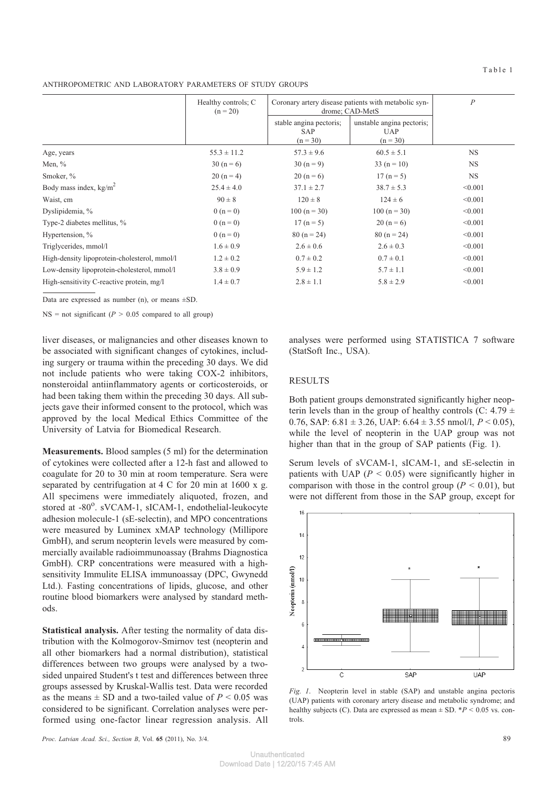Table 1

ANTHROPOMETRIC AND LABORATORY PARAMETERS OF STUDY GROUPS

|                                              | Healthy controls; C<br>$(n = 20)$ |                                                     | Coronary artery disease patients with metabolic syn-<br>drome; CAD-MetS |           |
|----------------------------------------------|-----------------------------------|-----------------------------------------------------|-------------------------------------------------------------------------|-----------|
|                                              |                                   | stable angina pectoris;<br><b>SAP</b><br>$(n = 30)$ | unstable angina pectoris;<br><b>UAP</b><br>$(n = 30)$                   |           |
| Age, years                                   | $55.3 \pm 11.2$                   | $57.3 \pm 9.6$                                      | $60.5 \pm 5.1$                                                          | <b>NS</b> |
| Men, $\%$                                    | $30(n=6)$                         | $30 (n = 9)$                                        | $33(n = 10)$                                                            | <b>NS</b> |
| Smoker, %                                    | $20(n=4)$                         | $20 (n = 6)$                                        | $17(n=5)$                                                               | <b>NS</b> |
| Body mass index, $kg/m^2$                    | $25.4 \pm 4.0$                    | $37.1 \pm 2.7$                                      | $38.7 \pm 5.3$                                                          | < 0.001   |
| Waist, cm                                    | $90 \pm 8$                        | $120 \pm 8$                                         | $124 \pm 6$                                                             | < 0.001   |
| Dyslipidemia, %                              | $0(n=0)$                          | $100(n = 30)$                                       | $100(n = 30)$                                                           | < 0.001   |
| Type-2 diabetes mellitus, %                  | $0(n=0)$                          | $17(n=5)$                                           | $20(n=6)$                                                               | < 0.001   |
| Hypertension, %                              | $0(n=0)$                          | $80(n = 24)$                                        | $80(n = 24)$                                                            | < 0.001   |
| Triglycerides, mmol/l                        | $1.6 \pm 0.9$                     | $2.6 \pm 0.6$                                       | $2.6 \pm 0.3$                                                           | < 0.001   |
| High-density lipoprotein-cholesterol, mmol/l | $1.2 \pm 0.2$                     | $0.7 \pm 0.2$                                       | $0.7 \pm 0.1$                                                           | < 0.001   |
| Low-density lipoprotein-cholesterol, mmol/l  | $3.8 \pm 0.9$                     | $5.9 \pm 1.2$                                       | $5.7 \pm 1.1$                                                           | < 0.001   |
| High-sensitivity C-reactive protein, mg/l    | $1.4 \pm 0.7$                     | $2.8 \pm 1.1$                                       | $5.8 \pm 2.9$                                                           | < 0.001   |

Data are expressed as number (n), or means ±SD.

 $NS = not significant$  ( $P > 0.05$  compared to all group)

liver diseases, or malignancies and other diseases known to be associated with significant changes of cytokines, including surgery or trauma within the preceding 30 days. We did not include patients who were taking COX-2 inhibitors, nonsteroidal antiinflammatory agents or corticosteroids, or had been taking them within the preceding 30 days. All subjects gave their informed consent to the protocol, which was approved by the local Medical Ethics Committee of the University of Latvia for Biomedical Research.

**Measurements.** Blood samples (5 ml) for the determination of cytokines were collected after a 12-h fast and allowed to coagulate for 20 to 30 min at room temperature. Sera were separated by centrifugation at 4 C for 20 min at  $1600 \times g$ . All specimens were immediately aliquoted, frozen, and stored at -80°. sVCAM-1, sICAM-1, endothelial-leukocyte adhesion molecule-1 (sE-selectin), and MPO concentrations were measured by Luminex xMAP technology (Millipore GmbH), and serum neopterin levels were measured by commercially available radioimmunoassay (Brahms Diagnostica GmbH). CRP concentrations were measured with a highsensitivity Immulite ELISA immunoassay (DPC, Gwynedd Ltd.). Fasting concentrations of lipids, glucose, and other routine blood biomarkers were analysed by standard methods.

**Statistical analysis.** After testing the normality of data distribution with the Kolmogorov-Smirnov test (neopterin and all other biomarkers had a normal distribution), statistical differences between two groups were analysed by a twosided unpaired Student's t test and differences between three groups assessed by Kruskal-Wallis test. Data were recorded as the means  $\pm$  SD and a two-tailed value of  $P < 0.05$  was considered to be significant. Correlation analyses were performed using one-factor linear regression analysis. All analyses were performed using STATISTICA 7 software (StatSoft Inc., USA).

### RESULTS

Both patient groups demonstrated significantly higher neopterin levels than in the group of healthy controls (C: 4.79  $\pm$ 0.76, SAP:  $6.81 \pm 3.26$ , UAP:  $6.64 \pm 3.55$  nmol/l,  $P < 0.05$ ), while the level of neopterin in the UAP group was not higher than that in the group of SAP patients (Fig. 1).

Serum levels of sVCAM-1, sICAM-1, and sE-selectin in patients with UAP (*P <* 0.05) were significantly higher in comparison with those in the control group  $(P < 0.01)$ , but were not different from those in the SAP group, except for



*Fig. 1*. Neopterin level in stable (SAP) and unstable angina pectoris (UAP) patients with coronary artery disease and metabolic syndrome; and healthy subjects (C). Data are expressed as mean  $\pm$  SD.  $*P < 0.05$  vs. controls.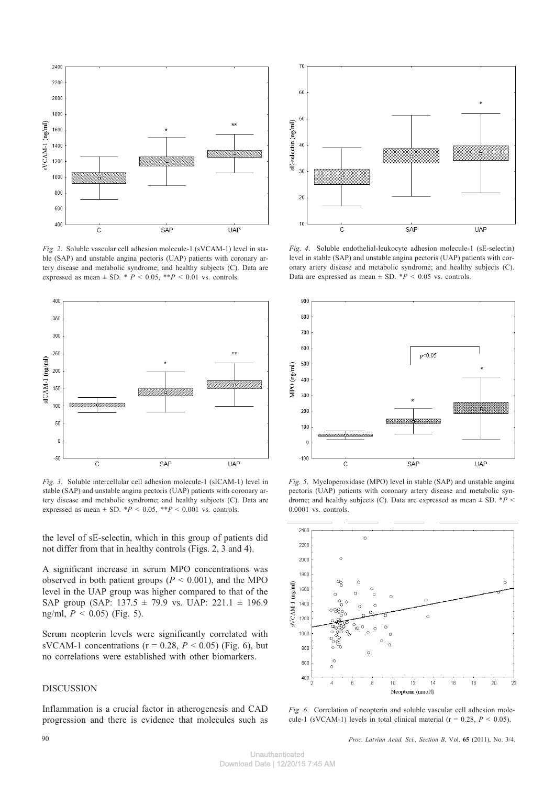

*Fig. 2*. Soluble vascular cell adhesion molecule-1 (sVCAM-1) level in stable (SAP) and unstable angina pectoris (UAP) patients with coronary artery disease and metabolic syndrome; and healthy subjects (C). Data are expressed as mean  $\pm$  SD.  $*$  *P* < 0.05,  $*$ *P* < 0.01 vs. controls.



*Fig. 3*. Soluble intercellular cell adhesion molecule-1 (sICAM-1) level in stable (SAP) and unstable angina pectoris (UAP) patients with coronary artery disease and metabolic syndrome; and healthy subjects (C). Data are expressed as mean  $\pm$  SD.  $*P < 0.05$ ,  $*P < 0.001$  vs. controls.

the level of sE-selectin, which in this group of patients did not differ from that in healthy controls (Figs. 2, 3 and 4).

A significant increase in serum MPO concentrations was observed in both patient groups (*P <* 0.001), and the MPO level in the UAP group was higher compared to that of the SAP group (SAP:  $137.5 \pm 79.9$  vs. UAP:  $221.1 \pm 196.9$ ng/ml, *P <* 0.05) (Fig. 5).

Serum neopterin levels were significantly correlated with sVCAM-1 concentrations ( $r = 0.28$ ,  $P < 0.05$ ) (Fig. 6), but no correlations were established with other biomarkers.

## DISCUSSION

Inflammation is a crucial factor in atherogenesis and CAD progression and there is evidence that molecules such as



*Fig. 4*. Soluble endothelial-leukocyte adhesion molecule-1 (sE-selectin) level in stable (SAP) and unstable angina pectoris (UAP) patients with coronary artery disease and metabolic syndrome; and healthy subjects (C). Data are expressed as mean  $\pm$  SD.  $*P < 0.05$  vs. controls.



*Fig. 5*. Myeloperoxidase (MPO) level in stable (SAP) and unstable angina pectoris (UAP) patients with coronary artery disease and metabolic syndrome; and healthy subjects (C). Data are expressed as mean ± SD. \**P <* 0.0001 vs. controls.



*Fig. 6.* Correlation of neopterin and soluble vascular cell adhesion molecule-1 (sVCAM-1) levels in total clinical material ( $r = 0.28$ ,  $P < 0.05$ ).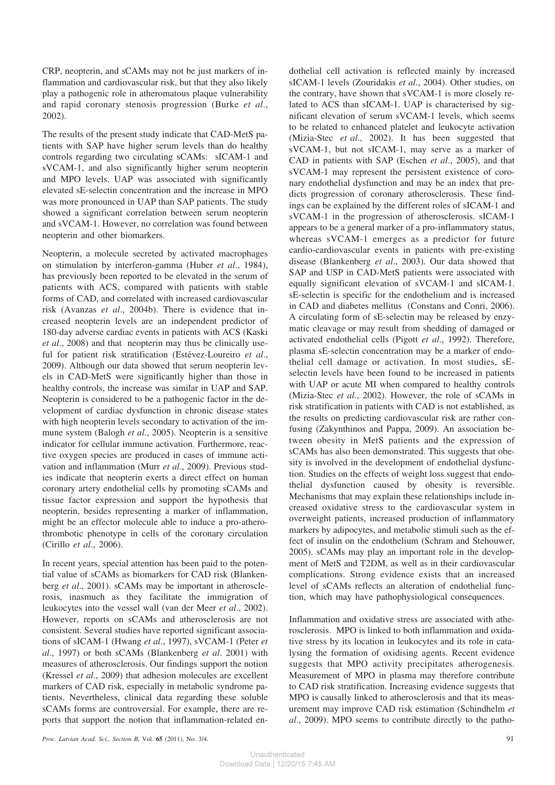CRP, neopterin, and sCAMs may not be just markers of inflammation and cardiovascular risk, but that they also likely play a pathogenic role in atheromatous plaque vulnerability and rapid coronary stenosis progression (Burke *et al*., 2002).

The results of the present study indicate that CAD-MetS patients with SAP have higher serum levels than do healthy controls regarding two circulating sCAMs: sICAM-1 and sVCAM-1, and also significantly higher serum neopterin and MPO levels. UAP was associated with significantly elevated sE-selectin concentration and the increase in MPO was more pronounced in UAP than SAP patients. The study showed a significant correlation between serum neopterin and sVCAM-1. However, no correlation was found between neopterin and other biomarkers.

Neopterin, a molecule secreted by activated macrophages on stimulation by interferon-gamma (Huber *et al*., 1984), has previously been reported to be elevated in the serum of patients with ACS, compared with patients with stable forms of CAD, and correlated with increased cardiovascular risk (Avanzas *et al*., 2004b). There is evidence that increased neopterin levels are an independent predictor of 180-day adverse cardiac events in patients with ACS (Kaski *et al*., 2008) and that neopterin may thus be clinically useful for patient risk stratification (Estévez-Loureiro *et al*., 2009). Although our data showed that serum neopterin levels in CAD-MetS were significantly higher than those in healthy controls, the increase was similar in UAP and SAP. Neopterin is considered to be a pathogenic factor in the development of cardiac dysfunction in chronic disease states with high neopterin levels secondary to activation of the immune system (Balogh *et al*., 2005). Neopterin is a sensitive indicator for cellular immune activation. Furthermore, reactive oxygen species are produced in cases of immune activation and inflammation (Murr *et al*., 2009). Previous studies indicate that neopterin exerts a direct effect on human coronary artery endothelial cells by promoting sCAMs and tissue factor expression and support the hypothesis that neopterin, besides representing a marker of inflammation, might be an effector molecule able to induce a pro-atherothrombotic phenotype in cells of the coronary circulation (Cirillo *et al*., 2006).

In recent years, special attention has been paid to the potential value of sCAMs as biomarkers for CAD risk (Blankenberg *et al*., 2001). sCAMs may be important in atherosclerosis, inasmuch as they facilitate the immigration of leukocytes into the vessel wall (van der Meer *et al*., 2002). However, reports on sCAMs and atherosclerosis are not consistent. Several studies have reported significant associations of sICAM-1 (Hwang *et al*., 1997), sVCAM-1 (Peter *et al*., 1997) or both sCAMs (Blankenberg *et al*. 2001) with measures of atherosclerosis. Our findings support the notion (Kressel *et al*., 2009) that adhesion molecules are excellent markers of CAD risk, especially in metabolic syndrome patients. Nevertheless, clinical data regarding these soluble sCAMs forms are controversial. For example, there are reports that support the notion that inflammation-related endothelial cell activation is reflected mainly by increased sICAM-1 levels (Zouridakis *et al*., 2004). Other studies, on the contrary, have shown that sVCAM-1 is more closely related to ACS than sICAM-1. UAP is characterised by significant elevation of serum sVCAM-1 levels, which seems to be related to enhanced platelet and leukocyte activation (Mizia-Stec *et al*., 2002). It has been suggested that sVCAM-1, but not sICAM-1, may serve as a marker of CAD in patients with SAP (Eschen *et al*., 2005), and that sVCAM-1 may represent the persistent existence of coronary endothelial dysfunction and may be an index that predicts progression of coronary atherosclerosis. These findings can be explained by the different roles of sICAM-1 and sVCAM-1 in the progression of atherosclerosis. sICAM-1 appears to be a general marker of a pro-inflammatory status, whereas sVCAM-1 emerges as a predictor for future cardio-cardiovascular events in patients with pre-existing disease (Blankenberg *et al*., 2003). Our data showed that SAP and USP in CAD-MetS patients were associated with equally significant elevation of sVCAM-1 and sICAM-1. sE-selectin is specific for the endothelium and is increased in CAD and diabetes mellitus (Constans and Conri, 2006). A circulating form of sE-selectin may be released by enzymatic cleavage or may result from shedding of damaged or activated endothelial cells (Pigott *et al*., 1992). Therefore, plasma sE-selectin concentration may be a marker of endothelial cell damage or activation. In most studies, sEselectin levels have been found to be increased in patients with UAP or acute MI when compared to healthy controls (Mizia-Stec *et al*., 2002). However, the role of sCAMs in risk stratification in patients with CAD is not established, as the results on predicting cardiovascular risk are rather confusing (Zakynthinos and Pappa, 2009). An association between obesity in MetS patients and the expression of sCAMs has also been demonstrated. This suggests that obesity is involved in the development of endothelial dysfunction. Studies on the effects of weight loss suggest that endothelial dysfunction caused by obesity is reversible. Mechanisms that may explain these relationships include increased oxidative stress to the cardiovascular system in overweight patients, increased production of inflammatory markers by adipocytes, and metabolic stimuli such as the effect of insulin on the endothelium (Schram and Stehouwer, 2005). sCAMs may play an important role in the development of MetS and T2DM, as well as in their cardiovascular complications. Strong evidence exists that an increased level of sCAMs reflects an alteration of endothelial function, which may have pathophysiological consequences.

Inflammation and oxidative stress are associated with atherosclerosis. MPO is linked to both inflammation and oxidative stress by its location in leukocytes and its role in catalysing the formation of oxidising agents. Recent evidence suggests that MPO activity precipitates atherogenesis. Measurement of MPO in plasma may therefore contribute to CAD risk stratification. Increasing evidence suggests that MPO is causally linked to atherosclerosis and that its measurement may improve CAD risk estimation (Schindhelm *et al*., 2009). MPO seems to contribute directly to the patho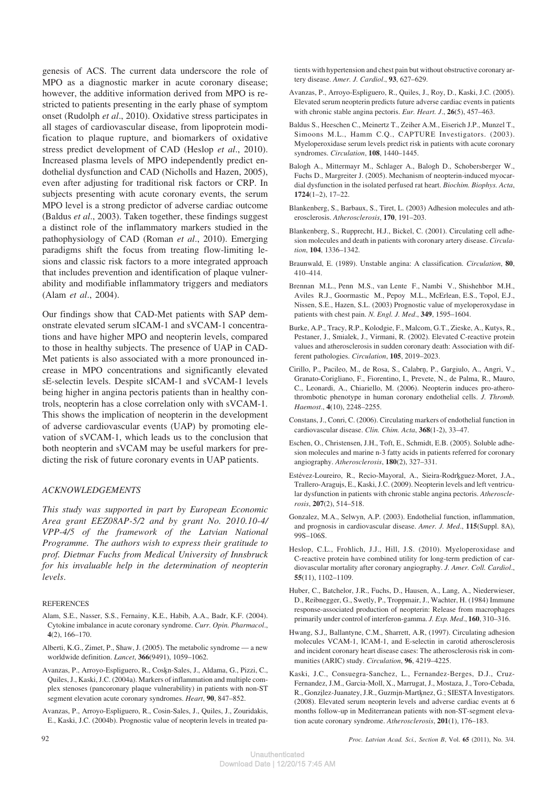genesis of ACS. The current data underscore the role of MPO as a diagnostic marker in acute coronary disease; however, the additive information derived from MPO is restricted to patients presenting in the early phase of symptom onset (Rudolph *et al*., 2010). Oxidative stress participates in all stages of cardiovascular disease, from lipoprotein modification to plaque rupture, and biomarkers of oxidative stress predict development of CAD (Heslop *et al*., 2010). Increased plasma levels of MPO independently predict endothelial dysfunction and CAD (Nicholls and Hazen, 2005), even after adjusting for traditional risk factors or CRP. In subjects presenting with acute coronary events, the serum MPO level is a strong predictor of adverse cardiac outcome (Baldus *et al*., 2003). Taken together, these findings suggest a distinct role of the inflammatory markers studied in the pathophysiology of CAD (Roman *et al*., 2010). Emerging paradigms shift the focus from treating flow-limiting lesions and classic risk factors to a more integrated approach that includes prevention and identification of plaque vulnerability and modifiable inflammatory triggers and mediators (Alam *et al*., 2004).

Our findings show that CAD-Met patients with SAP demonstrate elevated serum sICAM-1 and sVCAM-1 concentrations and have higher MPO and neopterin levels, compared to those in healthy subjects. The presence of UAP in CAD-Met patients is also associated with a more pronounced increase in MPO concentrations and significantly elevated sE-selectin levels. Despite sICAM-1 and sVCAM-1 levels being higher in angina pectoris patients than in healthy controls, neopterin has a close correlation only with sVCAM-1. This shows the implication of neopterin in the development of adverse cardiovascular events (UAP) by promoting elevation of sVCAM-1, which leads us to the conclusion that both neopterin and sVCAM may be useful markers for predicting the risk of future coronary events in UAP patients.

### *ACKNOWLEDGEMENTS*

*This study was supported in part by European Economic Area grant EEZ08AP-5/2 and by grant No. 2010.10-4/ VPP-4/5 of the framework of the Latvian National Programme. The authors wish to express their gratitude to prof. Dietmar Fuchs from Medical University of Innsbruck for his invaluable help in the determination of neopterin levels*.

#### **REFERENCES**

- Alam, S.E., Nasser, S.S., Fernainy, K.E., Habib, A.A., Badr, K.F. (2004). Cytokine imbalance in acute coronary syndrome. *Curr. Opin. Pharmacol*., **4**(2), 166–170.
- Alberti, K.G., Zimet, P., Shaw, J. (2005). The metabolic syndrome a new worldwide definition. *Lancet*, **366**(9491), 1059–1062.
- Avanzas, P., Arroyo-Espliguero, R., Coskn-Sales, J., Aldama, G., Pizzi, C., Quiles, J., Kaski, J.C. (2004a). Markers of inflammation and multiple complex stenoses (pancoronary plaque vulnerability) in patients with non-ST segment elevation acute coronary syndromes. *Heart*, **90**, 847–852.
- Avanzas, P., Arroyo-Espliguero, R., Cosin-Sales, J., Quiles, J., Zouridakis, E., Kaski, J.C. (2004b). Prognostic value of neopterin levels in treated pa-

tients with hypertension and chest pain but without obstructive coronary artery disease. *Amer. J. Cardiol*., **93**, 627–629.

- Avanzas, P., Arroyo-Espliguero, R., Quiles, J., Roy, D., Kaski, J.C. (2005). Elevated serum neopterin predicts future adverse cardiac events in patients with chronic stable angina pectoris. *Eur. Heart. J*., **26**(5), 457–463.
- Baldus S., Heeschen C., Meinertz T., Zeiher A.M., Eiserich J.P., Munzel T., Simoons M.L., Hamm C.Q., CAPTURE Investigators. (2003). Myeloperoxidase serum levels predict risk in patients with acute coronary syndromes. *Circulation*, **108**, 1440–1445.
- Balogh A., Mittermayr M., Schlager A., Balogh D., Schobersberger W., Fuchs D., Margreiter J. (2005). Mechanism of neopterin-induced myocardial dysfunction in the isolated perfused rat heart. *Biochim. Biophys. Acta*, **1724**(1–2), 17–22.
- Blankenberg, S., Barbaux, S., Tiret, L. (2003) Adhesion molecules and atherosclerosis. *Atherosclerosis*, **170**, 191–203.
- Blankenberg, S., Rupprecht, H.J., Bickel, C. (2001). Circulating cell adhesion molecules and death in patients with coronary artery disease. *Circulation*, **104**, 1336–1342.
- Braunwald, E. (1989). Unstable angina: A classification. *Circulation*, **80**, 410–414.
- Brennan M.L., Penn M.S., van Lente F., Nambi V., Shishehbor M.H., Aviles R.J., Goormastic M., Pepoy M.L., McErlean, E.S., Topol, E.J., Nissen, S.E., Hazen, S.L. (2003) Prognostic value of myeloperoxydase in patients with chest pain. *N. Engl. J. Med*., **349**, 1595–1604.
- Burke, A.P., Tracy, R.P., Kolodgie, F., Malcom, G.T., Zieske, A., Kutys, R., Pestaner, J., Smialek, J., Virmani, R. (2002). Elevated C-reactive protein values and atherosclerosis in sudden coronary death: Association with different pathologies. *Circulation*, **105**, 2019–2023.
- Cirillo, P., Pacileo, M., de Rosa, S., Calabrn, P., Gargiulo, A., Angri, V., Granato-Corigliano, F., Fiorentino, I., Prevete, N., de Palma, R., Mauro, C., Leonardi, A., Chiariello, M. (2006). Neopterin induces pro-atherothrombotic phenotype in human coronary endothelial cells. *J. Thromb. Haemost*., **4**(10), 2248–2255.
- Constans, J., Conri, C. (2006). Circulating markers of endothelial function in cardiovascular disease. *Clin. Chim. Acta*, **368**(1-2), 33–47.
- Eschen, O., Christensen, J.H., Toft, E., Schmidt, E.B. (2005). Soluble adhesion molecules and marine n-3 fatty acids in patients referred for coronary angiography. *Atherosclerosis*, **180**(2), 327–331.
- Estévez-Loureiro, R., Recio-Mayoral, A., Sieira-Rodrkguez-Moret, J.A., Trallero-Araguis, E., Kaski, J.C. (2009). Neopterin levels and left ventricular dysfunction in patients with chronic stable angina pectoris. *Atherosclerosis*, **207**(2), 514–518.
- Gonzalez, M.A., Selwyn, A.P. (2003). Endothelial function, inflammation, and prognosis in cardiovascular disease. *Amer. J. Med*., **115**(Suppl. 8A), 99S–106S.
- Heslop, C.L., Frohlich, J.J., Hill, J.S. (2010). Myeloperoxidase and C-reactive protein have combined utility for long-term prediction of cardiovascular mortality after coronary angiography. *J. Amer. Coll. Cardiol*., **55**(11), 1102–1109.
- Huber, C., Batchelor, J.R., Fuchs, D., Hausen, A., Lang, A., Niederwieser, D., Reibnegger, G., Swetly, P., Troppmair, J., Wachter, H. (1984) Immune response-associated production of neopterin: Release from macrophages primarily under control of interferon-gamma. *J. Exp. Med*., **160**, 310–316.
- Hwang, S.J,, Ballantyne, C.M., Sharrett, A.R, (1997). Circulating adhesion molecules VCAM-1, ICAM-1, and E-selectin in carotid atherosclerosis and incident coronary heart disease cases: The atherosclerosis risk in communities (ARIC) study. *Circulation*, **96**, 4219–4225.
- Kaski, J.C., Consuegra-Sanchez, L., Fernandez-Berges, D.J., Cruz-Fernandez, J.M., Garcia-Moll, X., Marrugat, J., Mostaza, J., Toro-Cebada, R., Gonzilez-Juanatey, J.R., Guzmin-Martknez, G.; SIESTA Investigators. (2008). Elevated serum neopterin levels and adverse cardiac events at 6 months follow-up in Mediterranean patients with non-ST-segment elevation acute coronary syndrome. *Atherosclerosis*, **201**(1), 176–183.